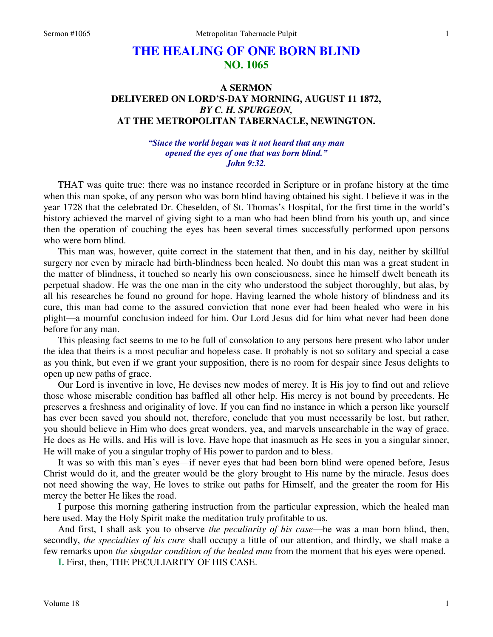## **THE HEALING OF ONE BORN BLIND NO. 1065**

## **A SERMON DELIVERED ON LORD'S-DAY MORNING, AUGUST 11 1872,**  *BY C. H. SPURGEON,*  **AT THE METROPOLITAN TABERNACLE, NEWINGTON.**

## *"Since the world began was it not heard that any man opened the eyes of one that was born blind." John 9:32.*

THAT was quite true: there was no instance recorded in Scripture or in profane history at the time when this man spoke, of any person who was born blind having obtained his sight. I believe it was in the year 1728 that the celebrated Dr. Cheselden, of St. Thomas's Hospital, for the first time in the world's history achieved the marvel of giving sight to a man who had been blind from his youth up, and since then the operation of couching the eyes has been several times successfully performed upon persons who were born blind.

This man was, however, quite correct in the statement that then, and in his day, neither by skillful surgery nor even by miracle had birth-blindness been healed. No doubt this man was a great student in the matter of blindness, it touched so nearly his own consciousness, since he himself dwelt beneath its perpetual shadow. He was the one man in the city who understood the subject thoroughly, but alas, by all his researches he found no ground for hope. Having learned the whole history of blindness and its cure, this man had come to the assured conviction that none ever had been healed who were in his plight—a mournful conclusion indeed for him. Our Lord Jesus did for him what never had been done before for any man.

This pleasing fact seems to me to be full of consolation to any persons here present who labor under the idea that theirs is a most peculiar and hopeless case. It probably is not so solitary and special a case as you think, but even if we grant your supposition, there is no room for despair since Jesus delights to open up new paths of grace.

Our Lord is inventive in love, He devises new modes of mercy. It is His joy to find out and relieve those whose miserable condition has baffled all other help. His mercy is not bound by precedents. He preserves a freshness and originality of love. If you can find no instance in which a person like yourself has ever been saved you should not, therefore, conclude that you must necessarily be lost, but rather, you should believe in Him who does great wonders, yea, and marvels unsearchable in the way of grace. He does as He wills, and His will is love. Have hope that inasmuch as He sees in you a singular sinner, He will make of you a singular trophy of His power to pardon and to bless.

It was so with this man's eyes—if never eyes that had been born blind were opened before, Jesus Christ would do it, and the greater would be the glory brought to His name by the miracle. Jesus does not need showing the way, He loves to strike out paths for Himself, and the greater the room for His mercy the better He likes the road.

I purpose this morning gathering instruction from the particular expression, which the healed man here used. May the Holy Spirit make the meditation truly profitable to us.

And first, I shall ask you to observe *the peculiarity of his case*—he was a man born blind, then, secondly, *the specialties of his cure* shall occupy a little of our attention, and thirdly, we shall make a few remarks upon *the singular condition of the healed man* from the moment that his eyes were opened.

**I.** First, then, THE PECULIARITY OF HIS CASE.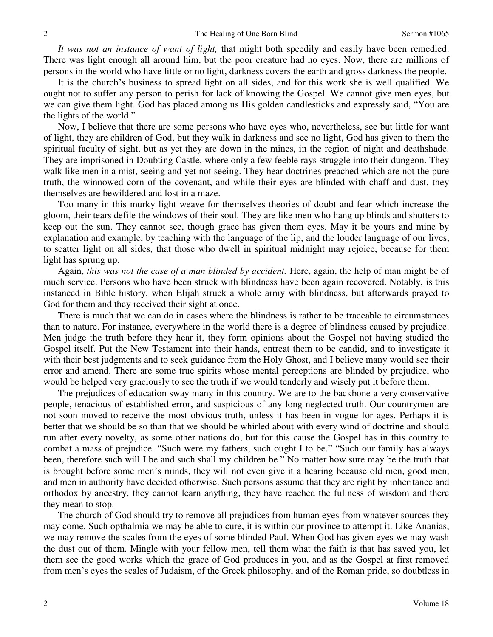*It was not an instance of want of light,* that might both speedily and easily have been remedied. There was light enough all around him, but the poor creature had no eyes. Now, there are millions of persons in the world who have little or no light, darkness covers the earth and gross darkness the people.

It is the church's business to spread light on all sides, and for this work she is well qualified. We ought not to suffer any person to perish for lack of knowing the Gospel. We cannot give men eyes, but we can give them light. God has placed among us His golden candlesticks and expressly said, "You are the lights of the world."

Now, I believe that there are some persons who have eyes who, nevertheless, see but little for want of light, they are children of God, but they walk in darkness and see no light, God has given to them the spiritual faculty of sight, but as yet they are down in the mines, in the region of night and deathshade. They are imprisoned in Doubting Castle, where only a few feeble rays struggle into their dungeon. They walk like men in a mist, seeing and yet not seeing. They hear doctrines preached which are not the pure truth, the winnowed corn of the covenant, and while their eyes are blinded with chaff and dust, they themselves are bewildered and lost in a maze.

Too many in this murky light weave for themselves theories of doubt and fear which increase the gloom, their tears defile the windows of their soul. They are like men who hang up blinds and shutters to keep out the sun. They cannot see, though grace has given them eyes. May it be yours and mine by explanation and example, by teaching with the language of the lip, and the louder language of our lives, to scatter light on all sides, that those who dwell in spiritual midnight may rejoice, because for them light has sprung up.

Again, *this was not the case of a man blinded by accident.* Here, again, the help of man might be of much service. Persons who have been struck with blindness have been again recovered. Notably, is this instanced in Bible history, when Elijah struck a whole army with blindness, but afterwards prayed to God for them and they received their sight at once.

There is much that we can do in cases where the blindness is rather to be traceable to circumstances than to nature. For instance, everywhere in the world there is a degree of blindness caused by prejudice. Men judge the truth before they hear it, they form opinions about the Gospel not having studied the Gospel itself. Put the New Testament into their hands, entreat them to be candid, and to investigate it with their best judgments and to seek guidance from the Holy Ghost, and I believe many would see their error and amend. There are some true spirits whose mental perceptions are blinded by prejudice, who would be helped very graciously to see the truth if we would tenderly and wisely put it before them.

The prejudices of education sway many in this country. We are to the backbone a very conservative people, tenacious of established error, and suspicious of any long neglected truth. Our countrymen are not soon moved to receive the most obvious truth, unless it has been in vogue for ages. Perhaps it is better that we should be so than that we should be whirled about with every wind of doctrine and should run after every novelty, as some other nations do, but for this cause the Gospel has in this country to combat a mass of prejudice. "Such were my fathers, such ought I to be." "Such our family has always been, therefore such will I be and such shall my children be." No matter how sure may be the truth that is brought before some men's minds, they will not even give it a hearing because old men, good men, and men in authority have decided otherwise. Such persons assume that they are right by inheritance and orthodox by ancestry, they cannot learn anything, they have reached the fullness of wisdom and there they mean to stop.

The church of God should try to remove all prejudices from human eyes from whatever sources they may come. Such opthalmia we may be able to cure, it is within our province to attempt it. Like Ananias, we may remove the scales from the eyes of some blinded Paul. When God has given eyes we may wash the dust out of them. Mingle with your fellow men, tell them what the faith is that has saved you, let them see the good works which the grace of God produces in you, and as the Gospel at first removed from men's eyes the scales of Judaism, of the Greek philosophy, and of the Roman pride, so doubtless in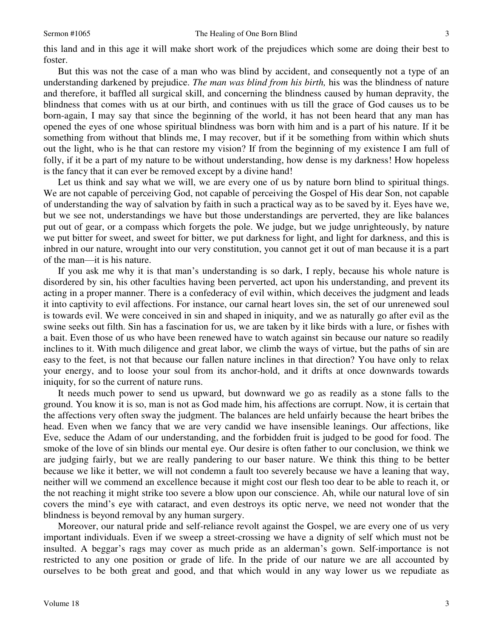this land and in this age it will make short work of the prejudices which some are doing their best to foster.

But this was not the case of a man who was blind by accident, and consequently not a type of an understanding darkened by prejudice. *The man was blind from his birth,* his was the blindness of nature and therefore, it baffled all surgical skill, and concerning the blindness caused by human depravity, the blindness that comes with us at our birth, and continues with us till the grace of God causes us to be born-again, I may say that since the beginning of the world, it has not been heard that any man has opened the eyes of one whose spiritual blindness was born with him and is a part of his nature. If it be something from without that blinds me, I may recover, but if it be something from within which shuts out the light, who is he that can restore my vision? If from the beginning of my existence I am full of folly, if it be a part of my nature to be without understanding, how dense is my darkness! How hopeless is the fancy that it can ever be removed except by a divine hand!

Let us think and say what we will, we are every one of us by nature born blind to spiritual things. We are not capable of perceiving God, not capable of perceiving the Gospel of His dear Son, not capable of understanding the way of salvation by faith in such a practical way as to be saved by it. Eyes have we, but we see not, understandings we have but those understandings are perverted, they are like balances put out of gear, or a compass which forgets the pole. We judge, but we judge unrighteously, by nature we put bitter for sweet, and sweet for bitter, we put darkness for light, and light for darkness, and this is inbred in our nature, wrought into our very constitution, you cannot get it out of man because it is a part of the man—it is his nature.

If you ask me why it is that man's understanding is so dark, I reply, because his whole nature is disordered by sin, his other faculties having been perverted, act upon his understanding, and prevent its acting in a proper manner. There is a confederacy of evil within, which deceives the judgment and leads it into captivity to evil affections. For instance, our carnal heart loves sin, the set of our unrenewed soul is towards evil. We were conceived in sin and shaped in iniquity, and we as naturally go after evil as the swine seeks out filth. Sin has a fascination for us, we are taken by it like birds with a lure, or fishes with a bait. Even those of us who have been renewed have to watch against sin because our nature so readily inclines to it. With much diligence and great labor, we climb the ways of virtue, but the paths of sin are easy to the feet, is not that because our fallen nature inclines in that direction? You have only to relax your energy, and to loose your soul from its anchor-hold, and it drifts at once downwards towards iniquity, for so the current of nature runs.

It needs much power to send us upward, but downward we go as readily as a stone falls to the ground. You know it is so, man is not as God made him, his affections are corrupt. Now, it is certain that the affections very often sway the judgment. The balances are held unfairly because the heart bribes the head. Even when we fancy that we are very candid we have insensible leanings. Our affections, like Eve, seduce the Adam of our understanding, and the forbidden fruit is judged to be good for food. The smoke of the love of sin blinds our mental eye. Our desire is often father to our conclusion, we think we are judging fairly, but we are really pandering to our baser nature. We think this thing to be better because we like it better, we will not condemn a fault too severely because we have a leaning that way, neither will we commend an excellence because it might cost our flesh too dear to be able to reach it, or the not reaching it might strike too severe a blow upon our conscience. Ah, while our natural love of sin covers the mind's eye with cataract, and even destroys its optic nerve, we need not wonder that the blindness is beyond removal by any human surgery.

Moreover, our natural pride and self-reliance revolt against the Gospel, we are every one of us very important individuals. Even if we sweep a street-crossing we have a dignity of self which must not be insulted. A beggar's rags may cover as much pride as an alderman's gown. Self-importance is not restricted to any one position or grade of life. In the pride of our nature we are all accounted by ourselves to be both great and good, and that which would in any way lower us we repudiate as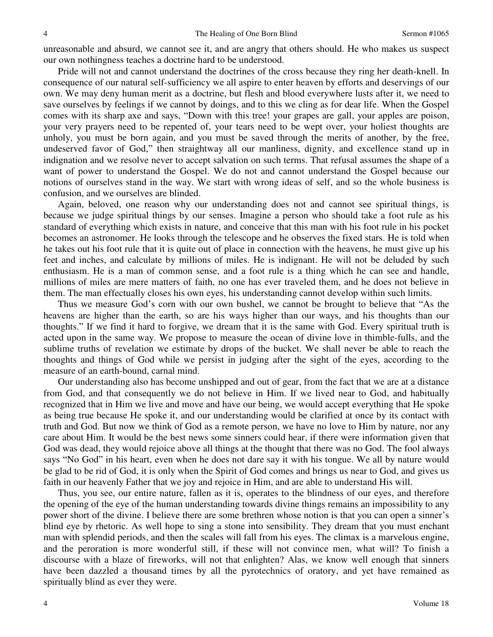unreasonable and absurd, we cannot see it, and are angry that others should. He who makes us suspect our own nothingness teaches a doctrine hard to be understood.

Pride will not and cannot understand the doctrines of the cross because they ring her death-knell. In consequence of our natural self-sufficiency we all aspire to enter heaven by efforts and deservings of our own. We may deny human merit as a doctrine, but flesh and blood everywhere lusts after it, we need to save ourselves by feelings if we cannot by doings, and to this we cling as for dear life. When the Gospel comes with its sharp axe and says, "Down with this tree! your grapes are gall, your apples are poison, your very prayers need to be repented of, your tears need to be wept over, your holiest thoughts are unholy, you must be born again, and you must be saved through the merits of another, by the free, undeserved favor of God," then straightway all our manliness, dignity, and excellence stand up in indignation and we resolve never to accept salvation on such terms. That refusal assumes the shape of a want of power to understand the Gospel. We do not and cannot understand the Gospel because our notions of ourselves stand in the way. We start with wrong ideas of self, and so the whole business is confusion, and we ourselves are blinded.

Again, beloved, one reason why our understanding does not and cannot see spiritual things, is because we judge spiritual things by our senses. Imagine a person who should take a foot rule as his standard of everything which exists in nature, and conceive that this man with his foot rule in his pocket becomes an astronomer. He looks through the telescope and he observes the fixed stars. He is told when he takes out his foot rule that it is quite out of place in connection with the heavens, he must give up his feet and inches, and calculate by millions of miles. He is indignant. He will not be deluded by such enthusiasm. He is a man of common sense, and a foot rule is a thing which he can see and handle, millions of miles are mere matters of faith, no one has ever traveled them, and he does not believe in them. The man effectually closes his own eyes, his understanding cannot develop within such limits.

Thus we measure God's corn with our own bushel, we cannot be brought to believe that "As the heavens are higher than the earth, so are his ways higher than our ways, and his thoughts than our thoughts." If we find it hard to forgive, we dream that it is the same with God. Every spiritual truth is acted upon in the same way. We propose to measure the ocean of divine love in thimble-fulls, and the sublime truths of revelation we estimate by drops of the bucket. We shall never be able to reach the thoughts and things of God while we persist in judging after the sight of the eyes, according to the measure of an earth-bound, carnal mind.

Our understanding also has become unshipped and out of gear, from the fact that we are at a distance from God, and that consequently we do not believe in Him. If we lived near to God, and habitually recognized that in Him we live and move and have our being, we would accept everything that He spoke as being true because He spoke it, and our understanding would be clarified at once by its contact with truth and God. But now we think of God as a remote person, we have no love to Him by nature, nor any care about Him. It would be the best news some sinners could hear, if there were information given that God was dead, they would rejoice above all things at the thought that there was no God. The fool always says "No God" in his heart, even when he does not dare say it with his tongue. We all by nature would be glad to be rid of God, it is only when the Spirit of God comes and brings us near to God, and gives us faith in our heavenly Father that we joy and rejoice in Him, and are able to understand His will.

Thus, you see, our entire nature, fallen as it is, operates to the blindness of our eyes, and therefore the opening of the eye of the human understanding towards divine things remains an impossibility to any power short of the divine. I believe there are some brethren whose notion is that you can open a sinner's blind eye by rhetoric. As well hope to sing a stone into sensibility. They dream that you must enchant man with splendid periods, and then the scales will fall from his eyes. The climax is a marvelous engine, and the peroration is more wonderful still, if these will not convince men, what will? To finish a discourse with a blaze of fireworks, will not that enlighten? Alas, we know well enough that sinners have been dazzled a thousand times by all the pyrotechnics of oratory, and yet have remained as spiritually blind as ever they were.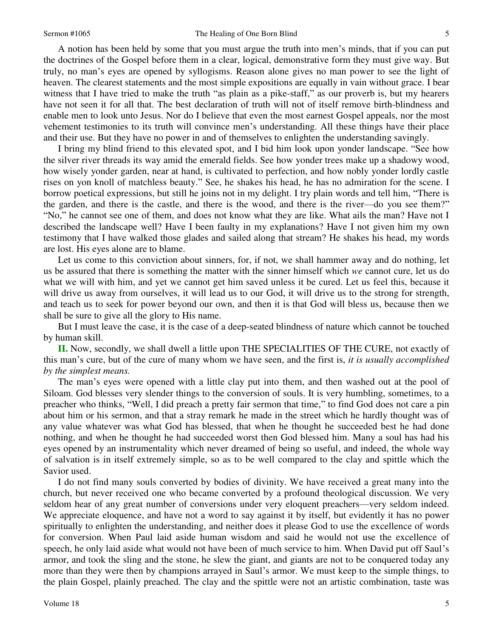A notion has been held by some that you must argue the truth into men's minds, that if you can put the doctrines of the Gospel before them in a clear, logical, demonstrative form they must give way. But truly, no man's eyes are opened by syllogisms. Reason alone gives no man power to see the light of heaven. The clearest statements and the most simple expositions are equally in vain without grace. I bear witness that I have tried to make the truth "as plain as a pike-staff," as our proverb is, but my hearers have not seen it for all that. The best declaration of truth will not of itself remove birth-blindness and enable men to look unto Jesus. Nor do I believe that even the most earnest Gospel appeals, nor the most vehement testimonies to its truth will convince men's understanding. All these things have their place and their use. But they have no power in and of themselves to enlighten the understanding savingly.

I bring my blind friend to this elevated spot, and I bid him look upon yonder landscape. "See how the silver river threads its way amid the emerald fields. See how yonder trees make up a shadowy wood, how wisely yonder garden, near at hand, is cultivated to perfection, and how nobly yonder lordly castle rises on yon knoll of matchless beauty." See, he shakes his head, he has no admiration for the scene. I borrow poetical expressions, but still he joins not in my delight. I try plain words and tell him, "There is the garden, and there is the castle, and there is the wood, and there is the river—do you see them?" "No," he cannot see one of them, and does not know what they are like. What ails the man? Have not I described the landscape well? Have I been faulty in my explanations? Have I not given him my own testimony that I have walked those glades and sailed along that stream? He shakes his head, my words are lost. His eyes alone are to blame.

Let us come to this conviction about sinners, for, if not, we shall hammer away and do nothing, let us be assured that there is something the matter with the sinner himself which *we* cannot cure, let us do what we will with him, and yet we cannot get him saved unless it be cured. Let us feel this, because it will drive us away from ourselves, it will lead us to our God, it will drive us to the strong for strength, and teach us to seek for power beyond our own, and then it is that God will bless us, because then we shall be sure to give all the glory to His name.

But I must leave the case, it is the case of a deep-seated blindness of nature which cannot be touched by human skill.

**II.** Now, secondly, we shall dwell a little upon THE SPECIALITIES OF THE CURE, not exactly of this man's cure, but of the cure of many whom we have seen, and the first is, *it is usually accomplished by the simplest means.*

The man's eyes were opened with a little clay put into them, and then washed out at the pool of Siloam. God blesses very slender things to the conversion of souls. It is very humbling, sometimes, to a preacher who thinks, "Well, I did preach a pretty fair sermon that time," to find God does not care a pin about him or his sermon, and that a stray remark he made in the street which he hardly thought was of any value whatever was what God has blessed, that when he thought he succeeded best he had done nothing, and when he thought he had succeeded worst then God blessed him. Many a soul has had his eyes opened by an instrumentality which never dreamed of being so useful, and indeed, the whole way of salvation is in itself extremely simple, so as to be well compared to the clay and spittle which the Savior used.

I do not find many souls converted by bodies of divinity. We have received a great many into the church, but never received one who became converted by a profound theological discussion. We very seldom hear of any great number of conversions under very eloquent preachers—very seldom indeed. We appreciate eloquence, and have not a word to say against it by itself, but evidently it has no power spiritually to enlighten the understanding, and neither does it please God to use the excellence of words for conversion. When Paul laid aside human wisdom and said he would not use the excellence of speech, he only laid aside what would not have been of much service to him. When David put off Saul's armor, and took the sling and the stone, he slew the giant, and giants are not to be conquered today any more than they were then by champions arrayed in Saul's armor. We must keep to the simple things, to the plain Gospel, plainly preached. The clay and the spittle were not an artistic combination, taste was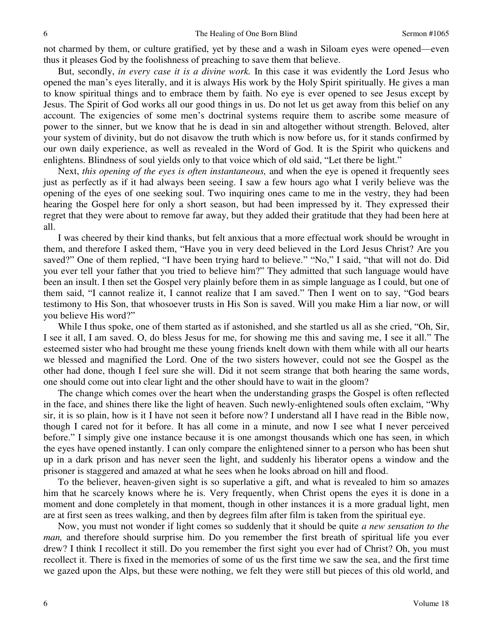not charmed by them, or culture gratified, yet by these and a wash in Siloam eyes were opened—even thus it pleases God by the foolishness of preaching to save them that believe.

But, secondly, *in every case it is a divine work.* In this case it was evidently the Lord Jesus who opened the man's eyes literally, and it is always His work by the Holy Spirit spiritually. He gives a man to know spiritual things and to embrace them by faith. No eye is ever opened to see Jesus except by Jesus. The Spirit of God works all our good things in us. Do not let us get away from this belief on any account. The exigencies of some men's doctrinal systems require them to ascribe some measure of power to the sinner, but we know that he is dead in sin and altogether without strength. Beloved, alter your system of divinity, but do not disavow the truth which is now before us, for it stands confirmed by our own daily experience, as well as revealed in the Word of God. It is the Spirit who quickens and enlightens. Blindness of soul yields only to that voice which of old said, "Let there be light."

Next, *this opening of the eyes is often instantaneous,* and when the eye is opened it frequently sees just as perfectly as if it had always been seeing. I saw a few hours ago what I verily believe was the opening of the eyes of one seeking soul. Two inquiring ones came to me in the vestry, they had been hearing the Gospel here for only a short season, but had been impressed by it. They expressed their regret that they were about to remove far away, but they added their gratitude that they had been here at all.

I was cheered by their kind thanks, but felt anxious that a more effectual work should be wrought in them, and therefore I asked them, "Have you in very deed believed in the Lord Jesus Christ? Are you saved?" One of them replied, "I have been trying hard to believe." "No," I said, "that will not do. Did you ever tell your father that you tried to believe him?" They admitted that such language would have been an insult. I then set the Gospel very plainly before them in as simple language as I could, but one of them said, "I cannot realize it, I cannot realize that I am saved." Then I went on to say, "God bears testimony to His Son, that whosoever trusts in His Son is saved. Will you make Him a liar now, or will you believe His word?"

While I thus spoke, one of them started as if astonished, and she startled us all as she cried, "Oh, Sir, I see it all, I am saved. O, do bless Jesus for me, for showing me this and saving me, I see it all." The esteemed sister who had brought me these young friends knelt down with them while with all our hearts we blessed and magnified the Lord. One of the two sisters however, could not see the Gospel as the other had done, though I feel sure she will. Did it not seem strange that both hearing the same words, one should come out into clear light and the other should have to wait in the gloom?

The change which comes over the heart when the understanding grasps the Gospel is often reflected in the face, and shines there like the light of heaven. Such newly-enlightened souls often exclaim, "Why sir, it is so plain, how is it I have not seen it before now? I understand all I have read in the Bible now, though I cared not for it before. It has all come in a minute, and now I see what I never perceived before." I simply give one instance because it is one amongst thousands which one has seen, in which the eyes have opened instantly. I can only compare the enlightened sinner to a person who has been shut up in a dark prison and has never seen the light, and suddenly his liberator opens a window and the prisoner is staggered and amazed at what he sees when he looks abroad on hill and flood.

To the believer, heaven-given sight is so superlative a gift, and what is revealed to him so amazes him that he scarcely knows where he is. Very frequently, when Christ opens the eyes it is done in a moment and done completely in that moment, though in other instances it is a more gradual light, men are at first seen as trees walking, and then by degrees film after film is taken from the spiritual eye.

Now, you must not wonder if light comes so suddenly that it should be quite *a new sensation to the man*, and therefore should surprise him. Do you remember the first breath of spiritual life you ever drew? I think I recollect it still. Do you remember the first sight you ever had of Christ? Oh, you must recollect it. There is fixed in the memories of some of us the first time we saw the sea, and the first time we gazed upon the Alps, but these were nothing, we felt they were still but pieces of this old world, and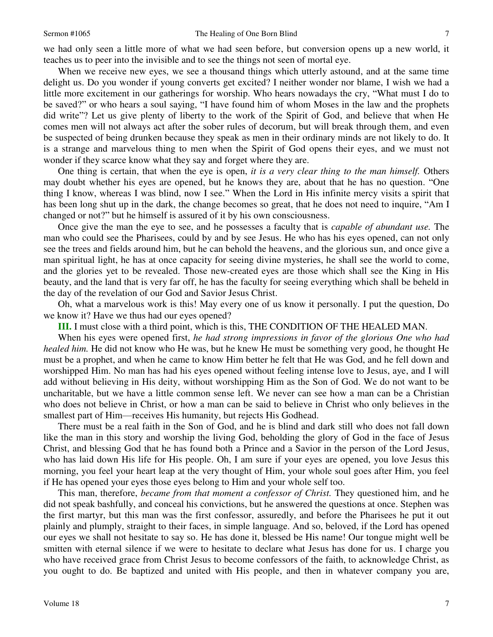we had only seen a little more of what we had seen before, but conversion opens up a new world, it teaches us to peer into the invisible and to see the things not seen of mortal eye.

When we receive new eyes, we see a thousand things which utterly astound, and at the same time delight us. Do you wonder if young converts get excited? I neither wonder nor blame, I wish we had a little more excitement in our gatherings for worship. Who hears nowadays the cry, "What must I do to be saved?" or who hears a soul saying, "I have found him of whom Moses in the law and the prophets did write"? Let us give plenty of liberty to the work of the Spirit of God, and believe that when He comes men will not always act after the sober rules of decorum, but will break through them, and even be suspected of being drunken because they speak as men in their ordinary minds are not likely to do. It is a strange and marvelous thing to men when the Spirit of God opens their eyes, and we must not wonder if they scarce know what they say and forget where they are.

One thing is certain, that when the eye is open, *it is a very clear thing to the man himself.* Others may doubt whether his eyes are opened, but he knows they are, about that he has no question. "One thing I know, whereas I was blind, now I see." When the Lord in His infinite mercy visits a spirit that has been long shut up in the dark, the change becomes so great, that he does not need to inquire, "Am I changed or not?" but he himself is assured of it by his own consciousness.

Once give the man the eye to see, and he possesses a faculty that is *capable of abundant use.* The man who could see the Pharisees, could by and by see Jesus. He who has his eyes opened, can not only see the trees and fields around him, but he can behold the heavens, and the glorious sun, and once give a man spiritual light, he has at once capacity for seeing divine mysteries, he shall see the world to come, and the glories yet to be revealed. Those new-created eyes are those which shall see the King in His beauty, and the land that is very far off, he has the faculty for seeing everything which shall be beheld in the day of the revelation of our God and Savior Jesus Christ.

Oh, what a marvelous work is this! May every one of us know it personally. I put the question, Do we know it? Have we thus had our eyes opened?

**III.** I must close with a third point, which is this, THE CONDITION OF THE HEALED MAN.

When his eyes were opened first, *he had strong impressions in favor of the glorious One who had healed him.* He did not know who He was, but he knew He must be something very good, he thought He must be a prophet, and when he came to know Him better he felt that He was God, and he fell down and worshipped Him. No man has had his eyes opened without feeling intense love to Jesus, aye, and I will add without believing in His deity, without worshipping Him as the Son of God. We do not want to be uncharitable, but we have a little common sense left. We never can see how a man can be a Christian who does not believe in Christ, or how a man can be said to believe in Christ who only believes in the smallest part of Him—receives His humanity, but rejects His Godhead.

There must be a real faith in the Son of God, and he is blind and dark still who does not fall down like the man in this story and worship the living God, beholding the glory of God in the face of Jesus Christ, and blessing God that he has found both a Prince and a Savior in the person of the Lord Jesus, who has laid down His life for His people. Oh, I am sure if your eyes are opened, you love Jesus this morning, you feel your heart leap at the very thought of Him, your whole soul goes after Him, you feel if He has opened your eyes those eyes belong to Him and your whole self too.

This man, therefore, *became from that moment a confessor of Christ.* They questioned him, and he did not speak bashfully, and conceal his convictions, but he answered the questions at once. Stephen was the first martyr, but this man was the first confessor, assuredly, and before the Pharisees he put it out plainly and plumply, straight to their faces, in simple language. And so, beloved, if the Lord has opened our eyes we shall not hesitate to say so. He has done it, blessed be His name! Our tongue might well be smitten with eternal silence if we were to hesitate to declare what Jesus has done for us. I charge you who have received grace from Christ Jesus to become confessors of the faith, to acknowledge Christ, as you ought to do. Be baptized and united with His people, and then in whatever company you are,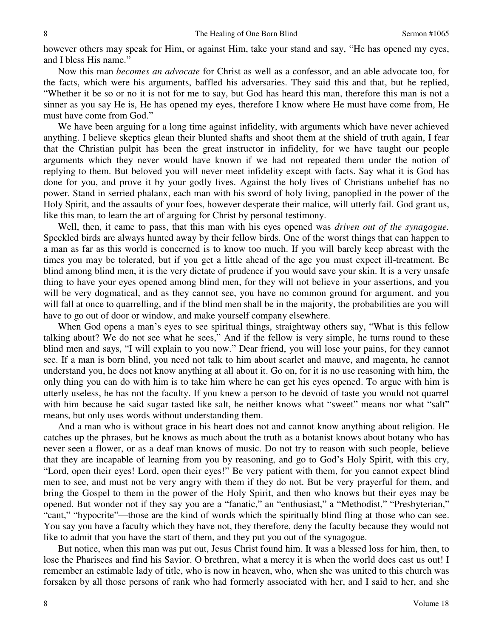however others may speak for Him, or against Him, take your stand and say, "He has opened my eyes, and I bless His name."

Now this man *becomes an advocate* for Christ as well as a confessor, and an able advocate too, for the facts, which were his arguments, baffled his adversaries. They said this and that, but he replied, "Whether it be so or no it is not for me to say, but God has heard this man, therefore this man is not a sinner as you say He is, He has opened my eyes, therefore I know where He must have come from, He must have come from God."

We have been arguing for a long time against infidelity, with arguments which have never achieved anything. I believe skeptics glean their blunted shafts and shoot them at the shield of truth again, I fear that the Christian pulpit has been the great instructor in infidelity, for we have taught our people arguments which they never would have known if we had not repeated them under the notion of replying to them. But beloved you will never meet infidelity except with facts. Say what it is God has done for you, and prove it by your godly lives. Against the holy lives of Christians unbelief has no power. Stand in serried phalanx, each man with his sword of holy living, panoplied in the power of the Holy Spirit, and the assaults of your foes, however desperate their malice, will utterly fail. God grant us, like this man, to learn the art of arguing for Christ by personal testimony.

Well, then, it came to pass, that this man with his eyes opened was *driven out of the synagogue.* Speckled birds are always hunted away by their fellow birds. One of the worst things that can happen to a man as far as this world is concerned is to know too much. If you will barely keep abreast with the times you may be tolerated, but if you get a little ahead of the age you must expect ill-treatment. Be blind among blind men, it is the very dictate of prudence if you would save your skin. It is a very unsafe thing to have your eyes opened among blind men, for they will not believe in your assertions, and you will be very dogmatical, and as they cannot see, you have no common ground for argument, and you will fall at once to quarrelling, and if the blind men shall be in the majority, the probabilities are you will have to go out of door or window, and make yourself company elsewhere.

When God opens a man's eyes to see spiritual things, straightway others say, "What is this fellow talking about? We do not see what he sees," And if the fellow is very simple, he turns round to these blind men and says, "I will explain to you now." Dear friend, you will lose your pains, for they cannot see. If a man is born blind, you need not talk to him about scarlet and mauve, and magenta, he cannot understand you, he does not know anything at all about it. Go on, for it is no use reasoning with him, the only thing you can do with him is to take him where he can get his eyes opened. To argue with him is utterly useless, he has not the faculty. If you knew a person to be devoid of taste you would not quarrel with him because he said sugar tasted like salt, he neither knows what "sweet" means nor what "salt" means, but only uses words without understanding them.

And a man who is without grace in his heart does not and cannot know anything about religion. He catches up the phrases, but he knows as much about the truth as a botanist knows about botany who has never seen a flower, or as a deaf man knows of music. Do not try to reason with such people, believe that they are incapable of learning from you by reasoning, and go to God's Holy Spirit, with this cry, "Lord, open their eyes! Lord, open their eyes!" Be very patient with them, for you cannot expect blind men to see, and must not be very angry with them if they do not. But be very prayerful for them, and bring the Gospel to them in the power of the Holy Spirit, and then who knows but their eyes may be opened. But wonder not if they say you are a "fanatic," an "enthusiast," a "Methodist," "Presbyterian," "cant," "hypocrite"—those are the kind of words which the spiritually blind fling at those who can see. You say you have a faculty which they have not, they therefore, deny the faculty because they would not like to admit that you have the start of them, and they put you out of the synagogue.

But notice, when this man was put out, Jesus Christ found him. It was a blessed loss for him, then, to lose the Pharisees and find his Savior. O brethren, what a mercy it is when the world does cast us out! I remember an estimable lady of title, who is now in heaven, who, when she was united to this church was forsaken by all those persons of rank who had formerly associated with her, and I said to her, and she

8